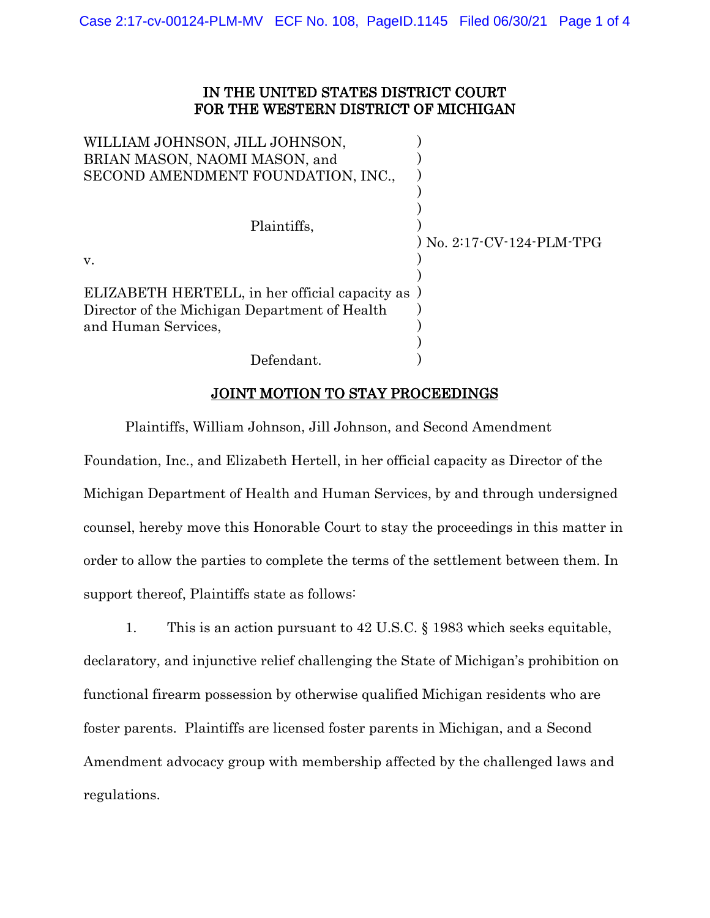## IN THE UNITED STATES DISTRICT COURT FOR THE WESTERN DISTRICT OF MICHIGAN

| WILLIAM JOHNSON, JILL JOHNSON,                 |                           |
|------------------------------------------------|---------------------------|
| BRIAN MASON, NAOMI MASON, and                  |                           |
| SECOND AMENDMENT FOUNDATION, INC.,             |                           |
|                                                |                           |
| Plaintiffs.                                    |                           |
|                                                | ) No. 2:17-CV-124-PLM-TPG |
| V.                                             |                           |
|                                                |                           |
| ELIZABETH HERTELL, in her official capacity as |                           |
| Director of the Michigan Department of Health  |                           |
| and Human Services,                            |                           |
|                                                |                           |
| Defendant.                                     |                           |

## JOINT MOTION TO STAY PROCEEDINGS

Plaintiffs, William Johnson, Jill Johnson, and Second Amendment Foundation, Inc., and Elizabeth Hertell, in her official capacity as Director of the Michigan Department of Health and Human Services, by and through undersigned counsel, hereby move this Honorable Court to stay the proceedings in this matter in order to allow the parties to complete the terms of the settlement between them. In support thereof, Plaintiffs state as follows:

1. This is an action pursuant to 42 U.S.C. § 1983 which seeks equitable, declaratory, and injunctive relief challenging the State of Michigan's prohibition on functional firearm possession by otherwise qualified Michigan residents who are foster parents. Plaintiffs are licensed foster parents in Michigan, and a Second Amendment advocacy group with membership affected by the challenged laws and regulations.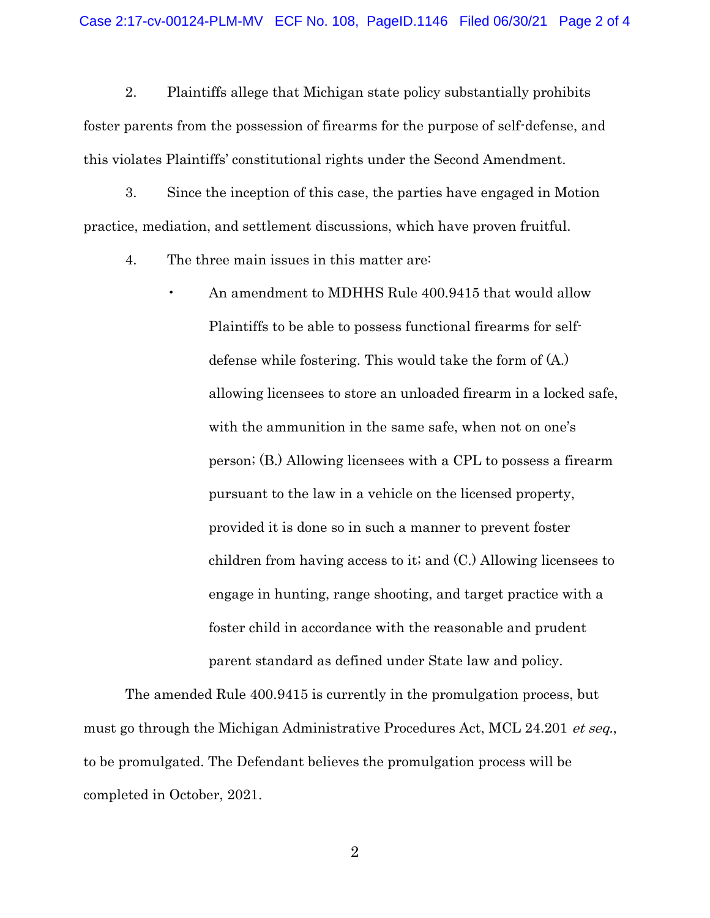2. Plaintiffs allege that Michigan state policy substantially prohibits foster parents from the possession of firearms for the purpose of self-defense, and this violates Plaintiffs' constitutional rights under the Second Amendment.

3. Since the inception of this case, the parties have engaged in Motion practice, mediation, and settlement discussions, which have proven fruitful.

4. The three main issues in this matter are:

• An amendment to MDHHS Rule 400.9415 that would allow Plaintiffs to be able to possess functional firearms for selfdefense while fostering. This would take the form of (A.) allowing licensees to store an unloaded firearm in a locked safe, with the ammunition in the same safe, when not on one's person; (B.) Allowing licensees with a CPL to possess a firearm pursuant to the law in a vehicle on the licensed property, provided it is done so in such a manner to prevent foster children from having access to it; and (C.) Allowing licensees to engage in hunting, range shooting, and target practice with a foster child in accordance with the reasonable and prudent parent standard as defined under State law and policy.

The amended Rule 400.9415 is currently in the promulgation process, but must go through the Michigan Administrative Procedures Act, MCL 24.201 *et seq.*, to be promulgated. The Defendant believes the promulgation process will be completed in October, 2021.

2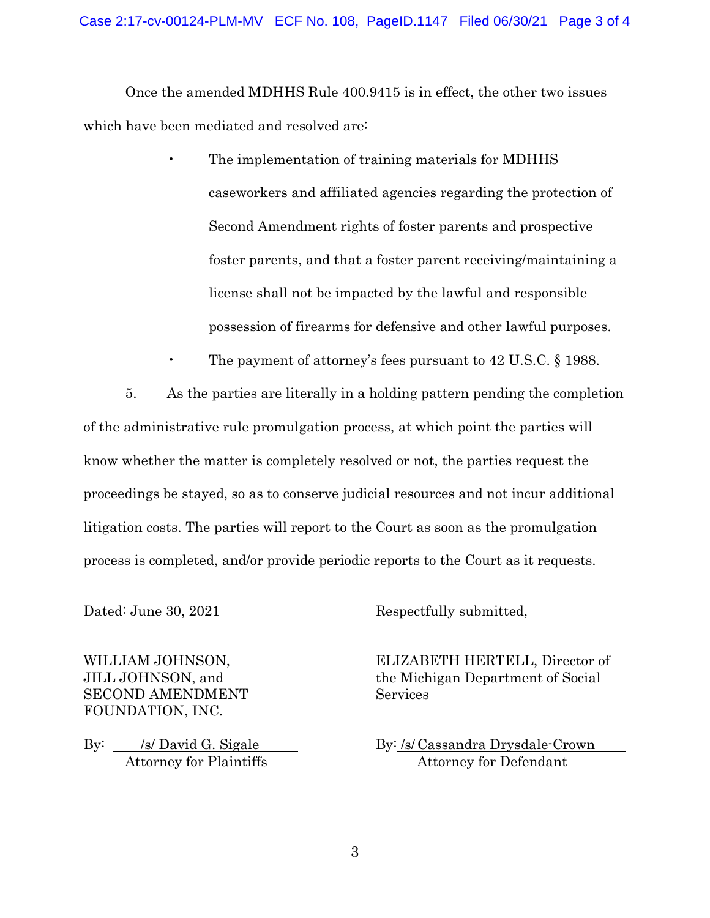Once the amended MDHHS Rule 400.9415 is in effect, the other two issues which have been mediated and resolved are:

- The implementation of training materials for MDHHS caseworkers and affiliated agencies regarding the protection of Second Amendment rights of foster parents and prospective foster parents, and that a foster parent receiving/maintaining a license shall not be impacted by the lawful and responsible possession of firearms for defensive and other lawful purposes.
- The payment of attorney's fees pursuant to 42 U.S.C. § 1988.

5. As the parties are literally in a holding pattern pending the completion of the administrative rule promulgation process, at which point the parties will know whether the matter is completely resolved or not, the parties request the proceedings be stayed, so as to conserve judicial resources and not incur additional litigation costs. The parties will report to the Court as soon as the promulgation process is completed, and/or provide periodic reports to the Court as it requests.

SECOND AMENDMENT Services FOUNDATION, INC.

Dated: June 30, 2021 Respectfully submitted,

WILLIAM JOHNSON, ELIZABETH HERTELL, Director of JILL JOHNSON, and the Michigan Department of Social

By: /s/ David G. Sigale by: /s/ Cassandra Drysdale-Crown Attorney for Plaintiffs Attorney for Defendant